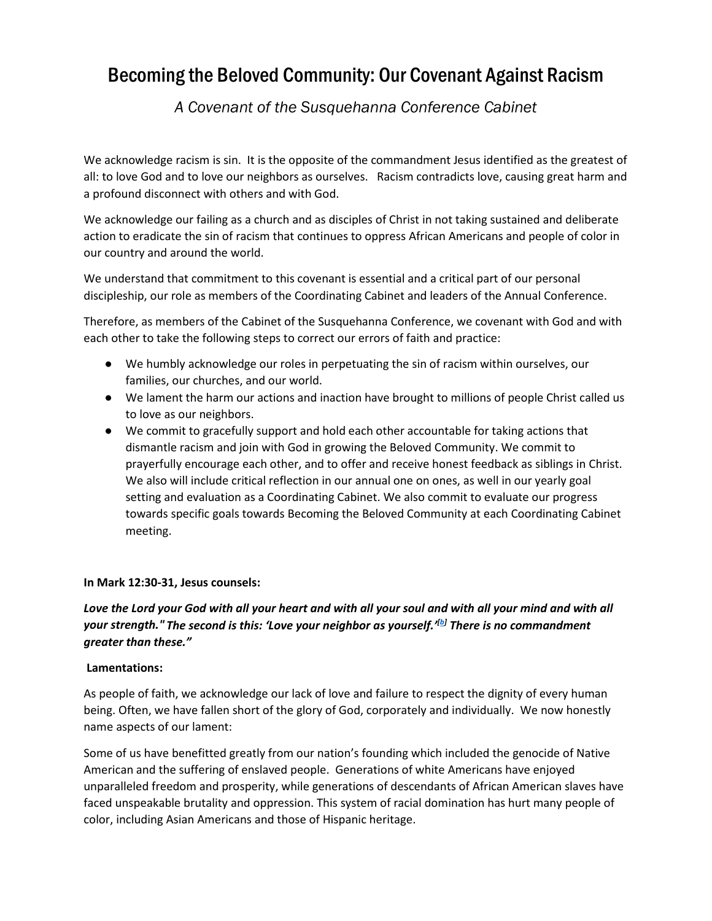# Becoming the Beloved Community: Our Covenant Against Racism

*A Covenant of the Susquehanna Conference Cabinet*

We acknowledge racism is sin. It is the opposite of the commandment Jesus identified as the greatest of all: to love God and to love our neighbors as ourselves. Racism contradicts love, causing great harm and a profound disconnect with others and with God.

We acknowledge our failing as a church and as disciples of Christ in not taking sustained and deliberate action to eradicate the sin of racism that continues to oppress African Americans and people of color in our country and around the world.

We understand that commitment to this covenant is essential and a critical part of our personal discipleship, our role as members of the Coordinating Cabinet and leaders of the Annual Conference.

Therefore, as members of the Cabinet of the Susquehanna Conference, we covenant with God and with each other to take the following steps to correct our errors of faith and practice:

- We humbly acknowledge our roles in perpetuating the sin of racism within ourselves, our families, our churches, and our world.
- We lament the harm our actions and inaction have brought to millions of people Christ called us to love as our neighbors.
- We commit to gracefully support and hold each other accountable for taking actions that dismantle racism and join with God in growing the Beloved Community. We commit to prayerfully encourage each other, and to offer and receive honest feedback as siblings in Christ. We also will include critical reflection in our annual one on ones, as well in our yearly goal setting and evaluation as a Coordinating Cabinet. We also commit to evaluate our progress towards specific goals towards Becoming the Beloved Community at each Coordinating Cabinet meeting.

#### **In Mark 12:30-31, Jesus counsels:**

## Love the Lord your God with all your heart and with all your soul and with all your mind and with all *your strength." The second is this: 'Love your neighbor as yourself.'[b] There is no commandment greater than these."*

#### **Lamentations:**

As people of faith, we acknowledge our lack of love and failure to respect the dignity of every human being. Often, we have fallen short of the glory of God, corporately and individually. We now honestly name aspects of our lament:

Some of us have benefitted greatly from our nation's founding which included the genocide of Native American and the suffering of enslaved people. Generations of white Americans have enjoyed unparalleled freedom and prosperity, while generations of descendants of African American slaves have faced unspeakable brutality and oppression. This system of racial domination has hurt many people of color, including Asian Americans and those of Hispanic heritage.